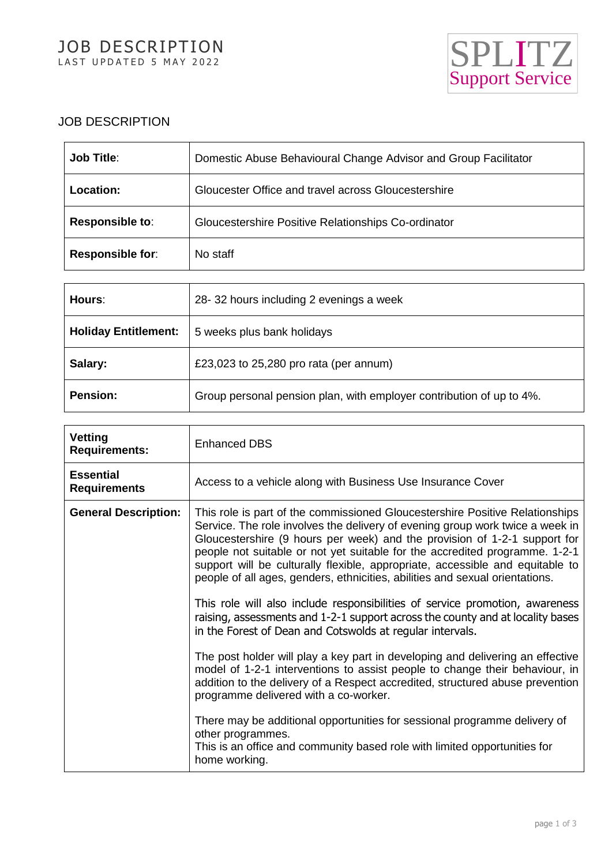

# JOB DESCRIPTION

| <b>Job Title:</b> | Domestic Abuse Behavioural Change Advisor and Group Facilitator |
|-------------------|-----------------------------------------------------------------|
| <b>Location:</b>  | Gloucester Office and travel across Gloucestershire             |
| Responsible to:   | Gloucestershire Positive Relationships Co-ordinator             |
| Responsible for:  | No staff                                                        |

| Hours:                      | 28-32 hours including 2 evenings a week                              |
|-----------------------------|----------------------------------------------------------------------|
| <b>Holiday Entitlement:</b> | 5 weeks plus bank holidays                                           |
| Salary:                     | £23,023 to $25,280$ pro rata (per annum)                             |
| <b>Pension:</b>             | Group personal pension plan, with employer contribution of up to 4%. |

| Vetting<br><b>Requirements:</b>         | <b>Enhanced DBS</b>                                                                                                                                                                                                                                                                                                                                                                                                                                                                                                                                                                                                                                                                                                       |
|-----------------------------------------|---------------------------------------------------------------------------------------------------------------------------------------------------------------------------------------------------------------------------------------------------------------------------------------------------------------------------------------------------------------------------------------------------------------------------------------------------------------------------------------------------------------------------------------------------------------------------------------------------------------------------------------------------------------------------------------------------------------------------|
| <b>Essential</b><br><b>Requirements</b> | Access to a vehicle along with Business Use Insurance Cover                                                                                                                                                                                                                                                                                                                                                                                                                                                                                                                                                                                                                                                               |
| <b>General Description:</b>             | This role is part of the commissioned Gloucestershire Positive Relationships<br>Service. The role involves the delivery of evening group work twice a week in<br>Gloucestershire (9 hours per week) and the provision of 1-2-1 support for<br>people not suitable or not yet suitable for the accredited programme. 1-2-1<br>support will be culturally flexible, appropriate, accessible and equitable to<br>people of all ages, genders, ethnicities, abilities and sexual orientations.<br>This role will also include responsibilities of service promotion, awareness<br>raising, assessments and 1-2-1 support across the county and at locality bases<br>in the Forest of Dean and Cotswolds at regular intervals. |
|                                         | The post holder will play a key part in developing and delivering an effective<br>model of 1-2-1 interventions to assist people to change their behaviour, in<br>addition to the delivery of a Respect accredited, structured abuse prevention<br>programme delivered with a co-worker.                                                                                                                                                                                                                                                                                                                                                                                                                                   |
|                                         | There may be additional opportunities for sessional programme delivery of<br>other programmes.<br>This is an office and community based role with limited opportunities for<br>home working.                                                                                                                                                                                                                                                                                                                                                                                                                                                                                                                              |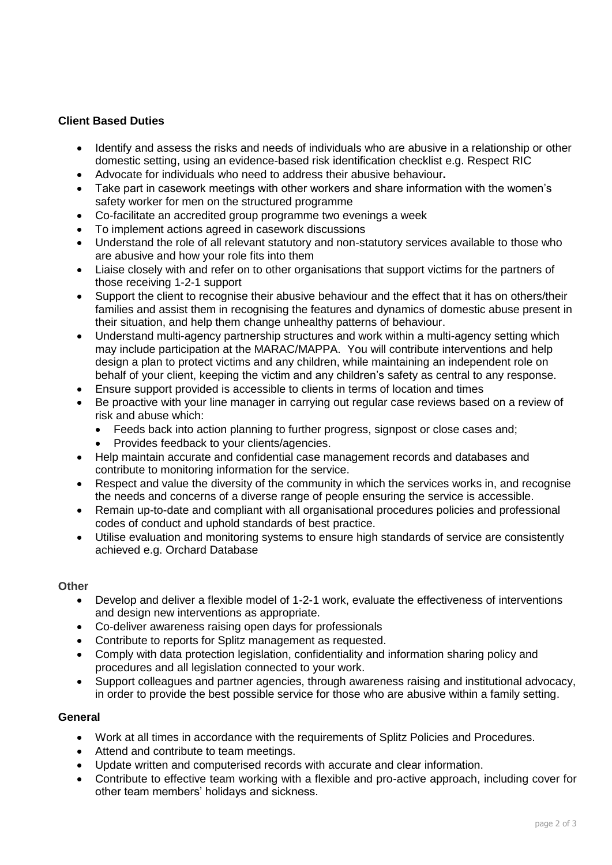## **Client Based Duties**

- Identify and assess the risks and needs of individuals who are abusive in a relationship or other domestic setting, using an evidence-based risk identification checklist e.g. Respect RIC
- Advocate for individuals who need to address their abusive behaviour**.**
- Take part in casework meetings with other workers and share information with the women's safety worker for men on the structured programme
- Co-facilitate an accredited group programme two evenings a week
- To implement actions agreed in casework discussions
- Understand the role of all relevant statutory and non-statutory services available to those who are abusive and how your role fits into them
- Liaise closely with and refer on to other organisations that support victims for the partners of those receiving 1-2-1 support
- Support the client to recognise their abusive behaviour and the effect that it has on others/their families and assist them in recognising the features and dynamics of domestic abuse present in their situation, and help them change unhealthy patterns of behaviour.
- Understand multi-agency partnership structures and work within a multi-agency setting which may include participation at the MARAC/MAPPA. You will contribute interventions and help design a plan to protect victims and any children, while maintaining an independent role on behalf of your client, keeping the victim and any children's safety as central to any response.
- Ensure support provided is accessible to clients in terms of location and times
- Be proactive with your line manager in carrying out regular case reviews based on a review of risk and abuse which:
	- Feeds back into action planning to further progress, signpost or close cases and;
	- Provides feedback to your clients/agencies.
- Help maintain accurate and confidential case management records and databases and contribute to monitoring information for the service.
- Respect and value the diversity of the community in which the services works in, and recognise the needs and concerns of a diverse range of people ensuring the service is accessible.
- Remain up-to-date and compliant with all organisational procedures policies and professional codes of conduct and uphold standards of best practice.
- Utilise evaluation and monitoring systems to ensure high standards of service are consistently achieved e.g. Orchard Database

#### **Other**

- Develop and deliver a flexible model of 1-2-1 work, evaluate the effectiveness of interventions and design new interventions as appropriate.
- Co-deliver awareness raising open days for professionals
- Contribute to reports for Splitz management as requested.
- Comply with data protection legislation, confidentiality and information sharing policy and procedures and all legislation connected to your work.
- Support colleagues and partner agencies, through awareness raising and institutional advocacy, in order to provide the best possible service for those who are abusive within a family setting.

#### **General**

- Work at all times in accordance with the requirements of Splitz Policies and Procedures.
- Attend and contribute to team meetings.
- Update written and computerised records with accurate and clear information.
- Contribute to effective team working with a flexible and pro-active approach, including cover for other team members' holidays and sickness.